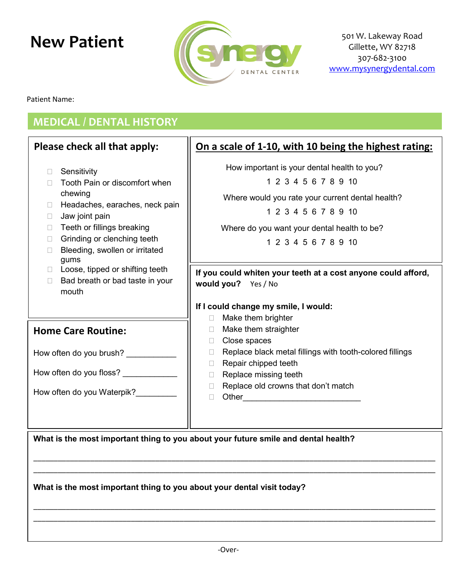

Patient Name:

## **MEDICAL / DENTAL HISTORY**

#### **Please check all that apply: D** Sensitivity □ Tooth Pain or discomfort when chewing  $\Box$  Headaches, earaches, neck pain  $\Box$  Jaw joint pain  $\Box$  Teeth or fillings breaking □ Grinding or clenching teeth □ Bleeding, swollen or irritated gums  $\Box$  Loose, tipped or shifting teeth  $\Box$  Bad breath or bad taste in your mouth **On a scale of 1-10, with 10 being the highest rating:** How important is your dental health to you? 1 2 3 4 5 6 7 8 9 10 Where would you rate your current dental health? 1 2 3 4 5 6 7 8 9 10 Where do you want your dental health to be? 1 2 3 4 5 6 7 8 9 10 **If you could whiten your teeth at a cost anyone could afford, would you?** Yes / No **If I could change my smile, I would: Make them brighter** □ Make them straighter □ Close spaces  $\Box$  Replace black metal fillings with tooth-colored fillings Repair chipped teeth  $\Box$  Replace missing teeth  $\Box$  Replace old crowns that don't match  $\Box$  Other **What is the most important thing to you about your future smile and dental health?** \_\_\_\_\_\_\_\_\_\_\_\_\_\_\_\_\_\_\_\_\_\_\_\_\_\_\_\_\_\_\_\_\_\_\_\_\_\_\_\_\_\_\_\_\_\_\_\_\_\_\_\_\_\_\_\_\_\_\_\_\_\_\_\_\_\_\_\_\_\_\_\_\_\_\_\_\_\_\_\_\_\_\_\_\_\_\_\_\_\_\_\_\_\_\_\_\_\_\_ \_\_\_\_\_\_\_\_\_\_\_\_\_\_\_\_\_\_\_\_\_\_\_\_\_\_\_\_\_\_\_\_\_\_\_\_\_\_\_\_\_\_\_\_\_\_\_\_\_\_\_\_\_\_\_\_\_\_\_\_\_\_\_\_\_\_\_\_\_\_\_\_\_\_\_\_\_\_\_\_\_\_\_\_\_\_\_\_\_\_\_\_\_\_\_\_\_\_\_ **What is the most important thing to you about your dental visit today?** \_\_\_\_\_\_\_\_\_\_\_\_\_\_\_\_\_\_\_\_\_\_\_\_\_\_\_\_\_\_\_\_\_\_\_\_\_\_\_\_\_\_\_\_\_\_\_\_\_\_\_\_\_\_\_\_\_\_\_\_\_\_\_\_\_\_\_\_\_\_\_\_\_\_\_\_\_\_\_\_\_\_\_\_\_\_\_\_\_\_\_\_\_\_\_\_\_\_\_ \_\_\_\_\_\_\_\_\_\_\_\_\_\_\_\_\_\_\_\_\_\_\_\_\_\_\_\_\_\_\_\_\_\_\_\_\_\_\_\_\_\_\_\_\_\_\_\_\_\_\_\_\_\_\_\_\_\_\_\_\_\_\_\_\_\_\_\_\_\_\_\_\_\_\_\_\_\_\_\_\_\_\_\_\_\_\_\_\_\_\_\_\_\_\_\_\_\_\_ **Home Care Routine:** How often do you brush? How often do you floss? How often do you Waterpik?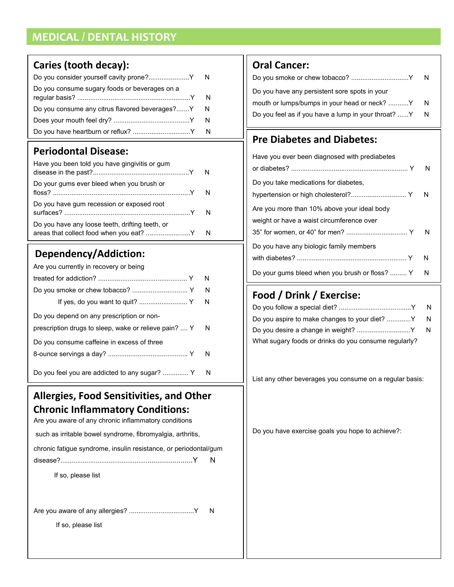# **MEDICAL / DENTAL HISTORY**

#### **Caries (tooth decay):**

| Do you consume sugary foods or beverages on a    |  |
|--------------------------------------------------|--|
| Do you consume any citrus flavored beverages?Y N |  |
|                                                  |  |
|                                                  |  |

#### **Periodontal Disease:**

| Have you been told you have gingivitis or gum   |  |
|-------------------------------------------------|--|
| Do your gums ever bleed when you brush or       |  |
| Do you have gum recession or exposed root       |  |
| Do you have any loose teeth, drifting teeth, or |  |

#### **Dependency/Addiction:**

| Are you currently in recovery or being                |   |
|-------------------------------------------------------|---|
|                                                       | N |
|                                                       | N |
|                                                       | N |
| Do you depend on any prescription or non-             |   |
| prescription drugs to sleep, wake or relieve pain?  Y | N |
| Do you consume caffeine in excess of three            |   |
|                                                       | N |
| Do you feel you are addicted to any sugar?  Y         | N |

#### **Allergies, Food Sensitivities, and Other Chronic Inflammatory Conditions:**

Are you aware of any chronic inflammatory conditions

such as irritable bowel syndrome, fibromyalgia, arthritis,

|  |  |  | chronic fatigue syndrome, insulin resistance, or periodontal/gum |  |
|--|--|--|------------------------------------------------------------------|--|
|  |  |  |                                                                  |  |

| ہ م ا |  |  |
|-------|--|--|
|       |  |  |

If so, please list

Are you aware of any allergies? ...................................Y N

If so, please list

## **Oral Cancer:**

| Do you smoke or chew tobacco? Y                       | N |
|-------------------------------------------------------|---|
| Do you have any persistent sore spots in your         |   |
| mouth or lumps/bumps in your head or neck? Y          | N |
| Do you feel as if you have a lump in your throat? Y N |   |
|                                                       |   |

#### **Pre Diabetes and Diabetes:**

| Have you ever been diagnosed with prediabetes                                            |          |
|------------------------------------------------------------------------------------------|----------|
|                                                                                          | N        |
| Do you take medications for diabetes,<br>hypertension or high cholesterol? Y             | <b>N</b> |
| Are you more than 10% above your ideal body<br>weight or have a waist circumference over |          |
|                                                                                          | N        |
| Do you have any biologic family members                                                  | N        |
|                                                                                          |          |
| Do your gums bleed when you brush or floss?  Y                                           | N        |

## **Food / Drink / Exercise:**

|                                                       | - N |
|-------------------------------------------------------|-----|
| Do you aspire to make changes to your diet? Y N       |     |
|                                                       |     |
| What sugary foods or drinks do you consume regularly? |     |

List any other beverages you consume on a regular basis:

Do you have exercise goals you hope to achieve?: